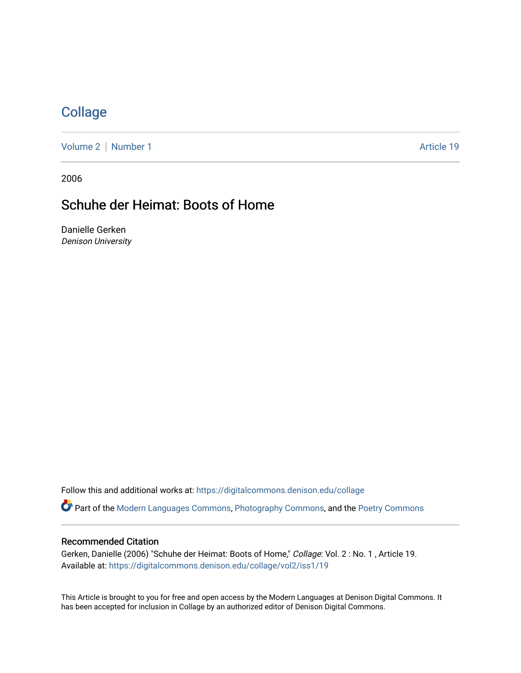## **[Collage](https://digitalcommons.denison.edu/collage)**

[Volume 2](https://digitalcommons.denison.edu/collage/vol2) | [Number 1](https://digitalcommons.denison.edu/collage/vol2/iss1) Article 19

2006

# Schuhe der Heimat: Boots of Home

Danielle Gerken Denison University

Follow this and additional works at: [https://digitalcommons.denison.edu/collage](https://digitalcommons.denison.edu/collage?utm_source=digitalcommons.denison.edu%2Fcollage%2Fvol2%2Fiss1%2F19&utm_medium=PDF&utm_campaign=PDFCoverPages)  Part of the [Modern Languages Commons,](http://network.bepress.com/hgg/discipline/1130?utm_source=digitalcommons.denison.edu%2Fcollage%2Fvol2%2Fiss1%2F19&utm_medium=PDF&utm_campaign=PDFCoverPages) [Photography Commons](http://network.bepress.com/hgg/discipline/1142?utm_source=digitalcommons.denison.edu%2Fcollage%2Fvol2%2Fiss1%2F19&utm_medium=PDF&utm_campaign=PDFCoverPages), and the [Poetry Commons](http://network.bepress.com/hgg/discipline/1153?utm_source=digitalcommons.denison.edu%2Fcollage%2Fvol2%2Fiss1%2F19&utm_medium=PDF&utm_campaign=PDFCoverPages)

#### Recommended Citation

Gerken, Danielle (2006) "Schuhe der Heimat: Boots of Home," Collage: Vol. 2 : No. 1 , Article 19. Available at: [https://digitalcommons.denison.edu/collage/vol2/iss1/19](https://digitalcommons.denison.edu/collage/vol2/iss1/19?utm_source=digitalcommons.denison.edu%2Fcollage%2Fvol2%2Fiss1%2F19&utm_medium=PDF&utm_campaign=PDFCoverPages)

This Article is brought to you for free and open access by the Modern Languages at Denison Digital Commons. It has been accepted for inclusion in Collage by an authorized editor of Denison Digital Commons.